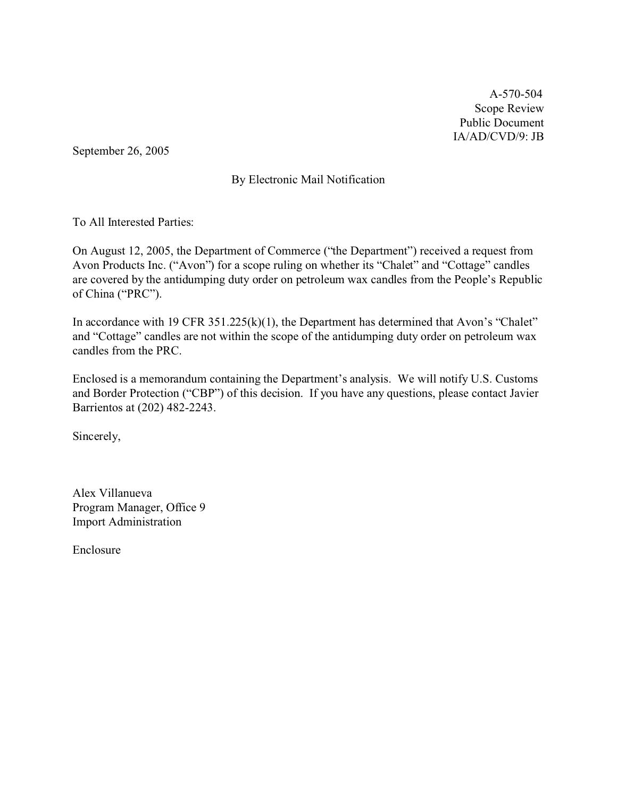A-570-504 Scope Review Public Document IA/AD/CVD/9: JB

September 26, 2005

# By Electronic Mail Notification

To All Interested Parties:

On August 12, 2005, the Department of Commerce ("the Department") received a request from Avon Products Inc. ("Avon") for a scope ruling on whether its "Chalet" and "Cottage" candles are covered by the antidumping duty order on petroleum wax candles from the People's Republic of China ("PRC").

In accordance with 19 CFR 351.225(k)(1), the Department has determined that Avon's "Chalet" and "Cottage" candles are not within the scope of the antidumping duty order on petroleum wax candles from the PRC.

Enclosed is a memorandum containing the Department's analysis. We will notify U.S. Customs and Border Protection ("CBP") of this decision. If you have any questions, please contact Javier Barrientos at (202) 482-2243.

Sincerely,

Alex Villanueva Program Manager, Office 9 Import Administration

Enclosure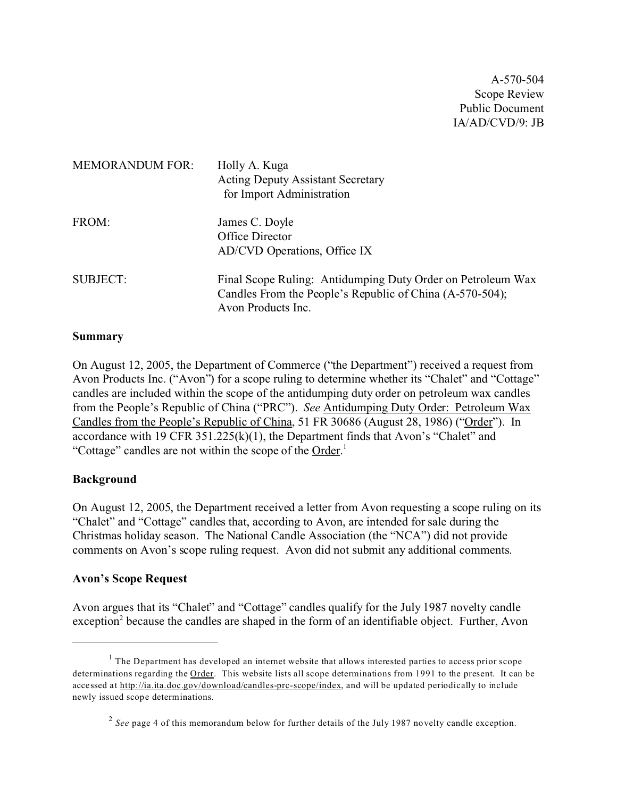A-570-504 Scope Review Public Document IA/AD/CVD/9: JB

| <b>MEMORANDUM FOR:</b> | Holly A. Kuga<br><b>Acting Deputy Assistant Secretary</b><br>for Import Administration                                                        |
|------------------------|-----------------------------------------------------------------------------------------------------------------------------------------------|
| FROM:                  | James C. Doyle<br>Office Director<br>AD/CVD Operations, Office IX                                                                             |
| <b>SUBJECT:</b>        | Final Scope Ruling: Antidumping Duty Order on Petroleum Wax<br>Candles From the People's Republic of China (A-570-504);<br>Avon Products Inc. |

#### **Summary**

On August 12, 2005, the Department of Commerce ("the Department") received a request from Avon Products Inc. ("Avon") for a scope ruling to determine whether its "Chalet" and "Cottage" candles are included within the scope of the antidumping duty order on petroleum wax candles from the People's Republic of China ("PRC"). *See* Antidumping Duty Order: Petroleum Wax Candles from the People's Republic of China, 51 FR 30686 (August 28, 1986) ("Order"). In accordance with 19 CFR 351.225(k)(1), the Department finds that Avon's "Chalet" and "Cottage" candles are not within the scope of the Order.<sup>1</sup>

#### **Background**

On August 12, 2005, the Department received a letter from Avon requesting a scope ruling on its "Chalet" and "Cottage" candles that, according to Avon, are intended for sale during the Christmas holiday season. The National Candle Association (the "NCA") did not provide comments on Avon's scope ruling request. Avon did not submit any additional comments.

#### **Avon's Scope Request**

Avon argues that its "Chalet" and "Cottage" candles qualify for the July 1987 novelty candle exception<sup>2</sup> because the candles are shaped in the form of an identifiable object. Further, Avon

 $<sup>1</sup>$  The Department has developed an internet website that allows interested parties to access prior scope</sup> determinations regarding the Order. This website lists all scope determinations from 1991 to the present. It can be accessed at [http://ia.ita.doc.gov/download/candles-prc-scope/index,](http://ia.ita.doc.gov/download/candles-prc-scope/,) and will be updated periodically to include newly issued scope determinations.

<sup>&</sup>lt;sup>2</sup> See page 4 of this memorandum below for further details of the July 1987 novelty candle exception.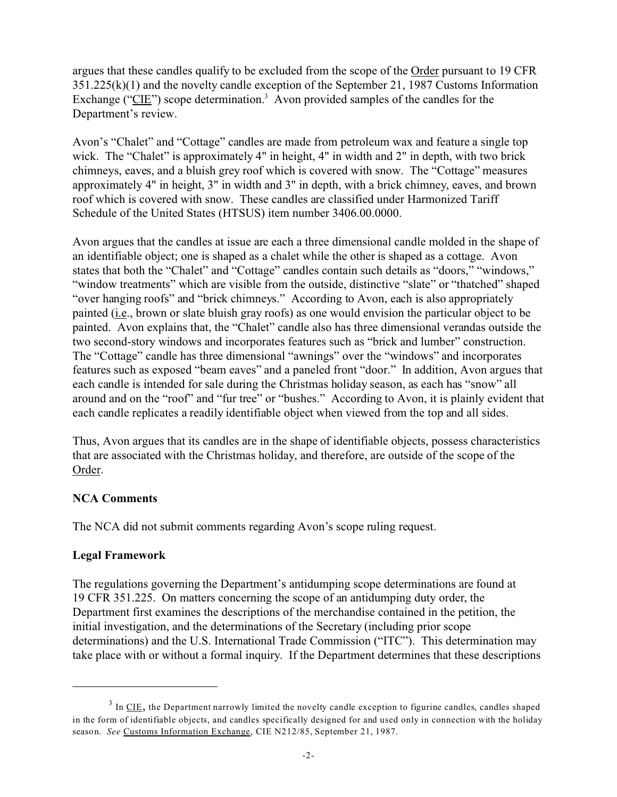argues that these candles qualify to be excluded from the scope of the Order pursuant to 19 CFR 351.225(k)(1) and the novelty candle exception of the September 21, 1987 Customs Information Exchange (" $CIE$ ") scope determination.<sup>3</sup> Avon provided samples of the candles for the Department's review.

Avon's "Chalet" and "Cottage" candles are made from petroleum wax and feature a single top wick. The "Chalet" is approximately 4" in height, 4" in width and 2" in depth, with two brick chimneys, eaves, and a bluish grey roof which is covered with snow. The "Cottage" measures approximately 4" in height, 3" in width and 3" in depth, with a brick chimney, eaves, and brown roof which is covered with snow. These candles are classified under Harmonized Tariff Schedule of the United States (HTSUS) item number 3406.00.0000.

Avon argues that the candles at issue are each a three dimensional candle molded in the shape of an identifiable object; one is shaped as a chalet while the other is shaped as a cottage. Avon states that both the "Chalet" and "Cottage" candles contain such details as "doors," "windows," "window treatments" which are visible from the outside, distinctive "slate" or "thatched" shaped "over hanging roofs" and "brick chimneys." According to Avon, each is also appropriately painted (i.e., brown or slate bluish gray roofs) as one would envision the particular object to be painted. Avon explains that, the "Chalet" candle also has three dimensional verandas outside the two second-story windows and incorporates features such as "brick and lumber" construction. The "Cottage" candle has three dimensional "awnings" over the "windows" and incorporates features such as exposed "beam eaves" and a paneled front "door." In addition, Avon argues that each candle is intended for sale during the Christmas holiday season, as each has "snow" all around and on the "roof" and "fur tree" or "bushes." According to Avon, it is plainly evident that each candle replicates a readily identifiable object when viewed from the top and all sides.

Thus, Avon argues that its candles are in the shape of identifiable objects, possess characteristics that are associated with the Christmas holiday, and therefore, are outside of the scope of the Order.

# **NCA Comments**

The NCA did not submit comments regarding Avon's scope ruling request.

#### **Legal Framework**

The regulations governing the Department's antidumping scope determinations are found at 19 CFR 351.225. On matters concerning the scope of an antidumping duty order, the Department first examines the descriptions of the merchandise contained in the petition, the initial investigation, and the determinations of the Secretary (including prior scope determinations) and the U.S. International Trade Commission ("ITC"). This determination may take place with or without a formal inquiry. If the Department determines that these descriptions

 $3$  In <u>CIE</u>, the Department narrowly limited the novelty candle exception to figurine candles, candles shaped in the form of identifiable objects, and candles specifically designed for and used only in connection with the holiday season. *See* Customs Information Exchange, CIE N212/85, September 21, 1987.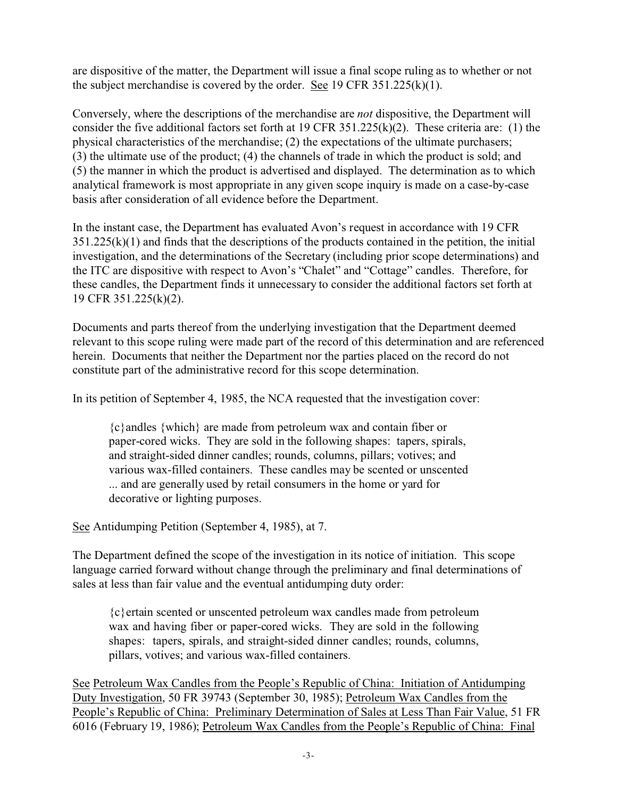are dispositive of the matter, the Department will issue a final scope ruling as to whether or not the subject merchandise is covered by the order. See 19 CFR  $351.225(k)(1)$ .

Conversely, where the descriptions of the merchandise are *not* dispositive, the Department will consider the five additional factors set forth at 19 CFR 351.225(k)(2). These criteria are: (1) the physical characteristics of the merchandise; (2) the expectations of the ultimate purchasers; (3) the ultimate use of the product; (4) the channels of trade in which the product is sold; and (5) the manner in which the product is advertised and displayed. The determination as to which analytical framework is most appropriate in any given scope inquiry is made on a case-by-case basis after consideration of all evidence before the Department.

In the instant case, the Department has evaluated Avon's request in accordance with 19 CFR  $351.225(k)(1)$  and finds that the descriptions of the products contained in the petition, the initial investigation, and the determinations of the Secretary (including prior scope determinations) and the ITC are dispositive with respect to Avon's "Chalet" and "Cottage" candles. Therefore, for these candles, the Department finds it unnecessary to consider the additional factors set forth at 19 CFR 351.225(k)(2).

Documents and parts thereof from the underlying investigation that the Department deemed relevant to this scope ruling were made part of the record of this determination and are referenced herein. Documents that neither the Department nor the parties placed on the record do not constitute part of the administrative record for this scope determination.

In its petition of September 4, 1985, the NCA requested that the investigation cover:

{c}andles {which} are made from petroleum wax and contain fiber or paper-cored wicks. They are sold in the following shapes: tapers, spirals, and straight-sided dinner candles; rounds, columns, pillars; votives; and various wax-filled containers. These candles may be scented or unscented ... and are generally used by retail consumers in the home or yard for decorative or lighting purposes.

See Antidumping Petition (September 4, 1985), at 7.

The Department defined the scope of the investigation in its notice of initiation. This scope language carried forward without change through the preliminary and final determinations of sales at less than fair value and the eventual antidumping duty order:

{c}ertain scented or unscented petroleum wax candles made from petroleum wax and having fiber or paper-cored wicks. They are sold in the following shapes: tapers, spirals, and straight-sided dinner candles; rounds, columns, pillars, votives; and various wax-filled containers.

See Petroleum Wax Candles from the People's Republic of China: Initiation of Antidumping Duty Investigation, 50 FR 39743 (September 30, 1985); Petroleum Wax Candles from the People's Republic of China: Preliminary Determination of Sales at Less Than Fair Value, 51 FR 6016 (February 19, 1986); Petroleum Wax Candles from the People's Republic of China: Final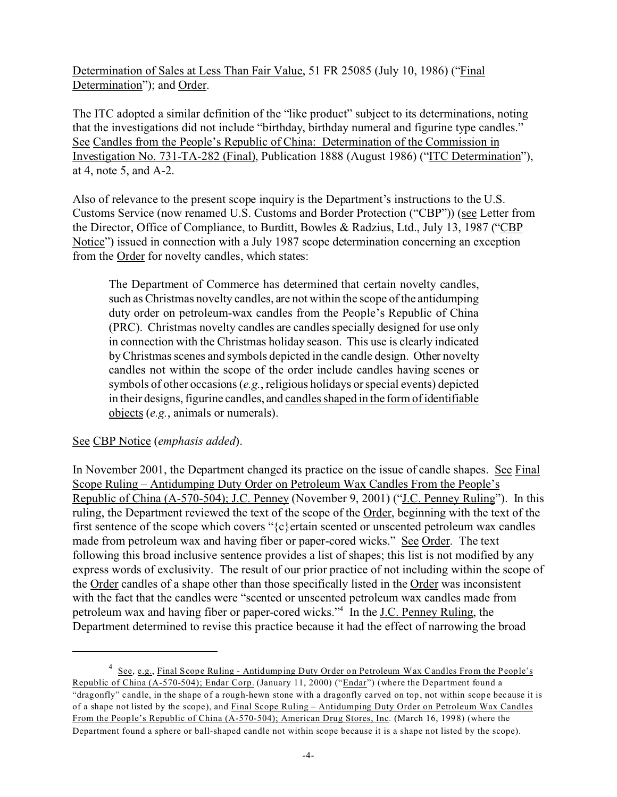Determination of Sales at Less Than Fair Value, 51 FR 25085 (July 10, 1986) ("Final Determination"); and Order.

The ITC adopted a similar definition of the "like product" subject to its determinations, noting that the investigations did not include "birthday, birthday numeral and figurine type candles." See Candles from the People's Republic of China: Determination of the Commission in Investigation No. 731-TA-282 (Final), Publication 1888 (August 1986) ("ITC Determination"), at 4, note 5, and A-2.

Also of relevance to the present scope inquiry is the Department's instructions to the U.S. Customs Service (now renamed U.S. Customs and Border Protection ("CBP")) (see Letter from the Director, Office of Compliance, to Burditt, Bowles & Radzius, Ltd., July 13, 1987 ("CBP Notice") issued in connection with a July 1987 scope determination concerning an exception from the Order for novelty candles, which states:

The Department of Commerce has determined that certain novelty candles, such as Christmas novelty candles, are not within the scope of the antidumping duty order on petroleum-wax candles from the People's Republic of China (PRC). Christmas novelty candles are candles specially designed for use only in connection with the Christmas holiday season. This use is clearly indicated by Christmas scenes and symbols depicted in the candle design. Other novelty candles not within the scope of the order include candles having scenes or symbols of other occasions (*e.g.*, religious holidays or special events) depicted in their designs, figurine candles, and candles shaped in the form of identifiable objects (*e.g.*, animals or numerals).

# See CBP Notice (*emphasis added*).

In November 2001, the Department changed its practice on the issue of candle shapes. See Final Scope Ruling – Antidumping Duty Order on Petroleum Wax Candles From the People's Republic of China (A-570-504); J.C. Penney (November 9, 2001) ("J.C. Penney Ruling"). In this ruling, the Department reviewed the text of the scope of the Order, beginning with the text of the first sentence of the scope which covers " $\{c\}$  ertain scented or unscented petroleum wax candles made from petroleum wax and having fiber or paper-cored wicks." See Order. The text following this broad inclusive sentence provides a list of shapes; this list is not modified by any express words of exclusivity. The result of our prior practice of not including within the scope of the Order candles of a shape other than those specifically listed in the Order was inconsistent with the fact that the candles were "scented or unscented petroleum wax candles made from petroleum wax and having fiber or paper-cored wicks."<sup>4</sup> In the J.C. Penney Ruling, the Department determined to revise this practice because it had the effect of narrowing the broad

<sup>&</sup>lt;sup>4</sup> See, e.g., Final Scope Ruling - Antidumping Duty Order on Petroleum Wax Candles From the People's Republic of China (A-570-504); Endar Corp. (January 11, 2000) ("Endar") (where the Department found a "dragonfly" candle, in the shape of a rough-hewn stone with a dragonfly carved on top, not within scope because it is of a shape not listed by the scope), and Final Scope Ruling – Antidumping Duty Order on Petroleum Wax Candles From the People's Republic of China (A-570-504); American Drug Stores, Inc. (March 16, 1998) (where the Department found a sphere or ball-shaped candle not within scope because it is a shape not listed by the scope).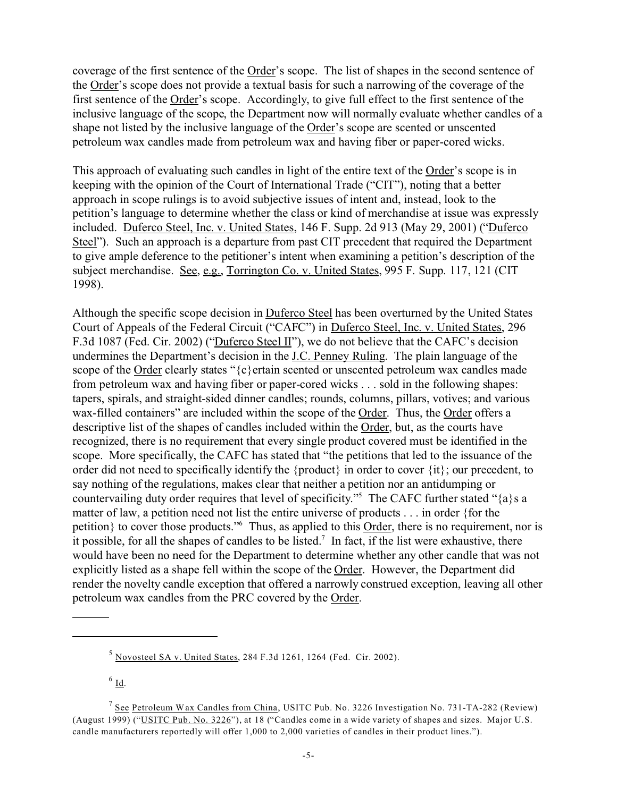coverage of the first sentence of the Order's scope. The list of shapes in the second sentence of the Order's scope does not provide a textual basis for such a narrowing of the coverage of the first sentence of the Order's scope. Accordingly, to give full effect to the first sentence of the inclusive language of the scope, the Department now will normally evaluate whether candles of a shape not listed by the inclusive language of the Order's scope are scented or unscented petroleum wax candles made from petroleum wax and having fiber or paper-cored wicks.

This approach of evaluating such candles in light of the entire text of the Order's scope is in keeping with the opinion of the Court of International Trade ("CIT"), noting that a better approach in scope rulings is to avoid subjective issues of intent and, instead, look to the petition's language to determine whether the class or kind of merchandise at issue was expressly included. Duferco Steel, Inc. v. United States, 146 F. Supp. 2d 913 (May 29, 2001) ("Duferco Steel"). Such an approach is a departure from past CIT precedent that required the Department to give ample deference to the petitioner's intent when examining a petition's description of the subject merchandise. See, e.g., Torrington Co. v. United States, 995 F. Supp. 117, 121 (CIT 1998).

Although the specific scope decision in Duferco Steel has been overturned by the United States Court of Appeals of the Federal Circuit ("CAFC") in Duferco Steel, Inc. v. United States, 296 F.3d 1087 (Fed. Cir. 2002) ("Duferco Steel II"), we do not believe that the CAFC's decision undermines the Department's decision in the J.C. Penney Ruling. The plain language of the scope of the Order clearly states "{c}ertain scented or unscented petroleum wax candles made from petroleum wax and having fiber or paper-cored wicks . . . sold in the following shapes: tapers, spirals, and straight-sided dinner candles; rounds, columns, pillars, votives; and various wax-filled containers" are included within the scope of the Order. Thus, the Order offers a descriptive list of the shapes of candles included within the Order, but, as the courts have recognized, there is no requirement that every single product covered must be identified in the scope. More specifically, the CAFC has stated that "the petitions that led to the issuance of the order did not need to specifically identify the {product} in order to cover {it}; our precedent, to say nothing of the regulations, makes clear that neither a petition nor an antidumping or countervailing duty order requires that level of specificity."<sup>5</sup> The CAFC further stated "{a}s a matter of law, a petition need not list the entire universe of products . . . in order {for the petition} to cover those products."<sup>6</sup> Thus, as applied to this **Order**, there is no requirement, nor is it possible, for all the shapes of candles to be listed.<sup>7</sup> In fact, if the list were exhaustive, there would have been no need for the Department to determine whether any other candle that was not explicitly listed as a shape fell within the scope of the Order. However, the Department did render the novelty candle exception that offered a narrowly construed exception, leaving all other petroleum wax candles from the PRC covered by the Order.

 $^6$  <u>Id</u>.

 $5$  Novosteel SA v. United States, 284 F.3d 1261, 1264 (Fed. Cir. 2002).

<sup>&</sup>lt;sup>7</sup> See Petroleum Wax Candles from China, USITC Pub. No. 3226 Investigation No. 731-TA-282 (Review) (August 1999) ("USITC Pub. No. 3226"), at 18 ("Candles come in a wide variety of shapes and sizes. Major U.S. candle manufacturers reportedly will offer 1,000 to 2,000 varieties of candles in their product lines.").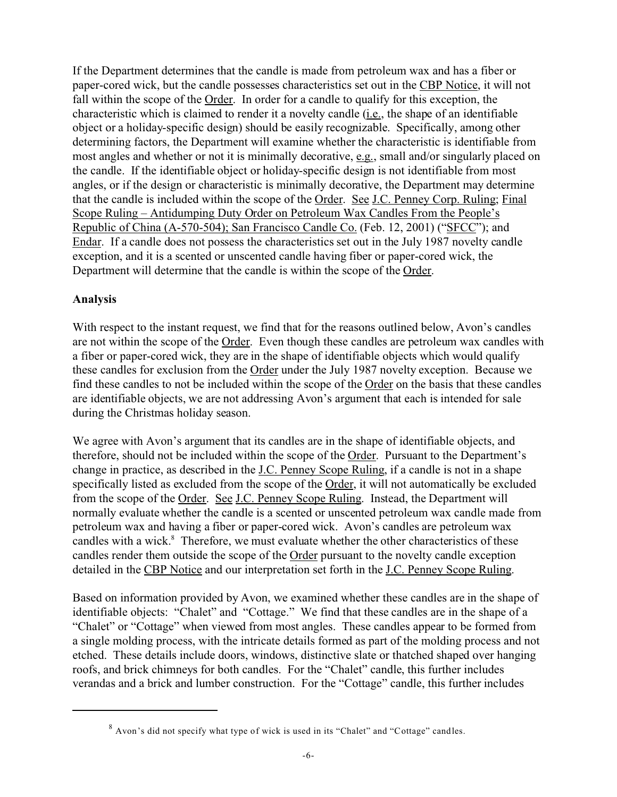If the Department determines that the candle is made from petroleum wax and has a fiber or paper-cored wick, but the candle possesses characteristics set out in the CBP Notice, it will not fall within the scope of the Order. In order for a candle to qualify for this exception, the characteristic which is claimed to render it a novelty candle (i.e., the shape of an identifiable object or a holiday-specific design) should be easily recognizable. Specifically, among other determining factors, the Department will examine whether the characteristic is identifiable from most angles and whether or not it is minimally decorative, e.g., small and/or singularly placed on the candle. If the identifiable object or holiday-specific design is not identifiable from most angles, or if the design or characteristic is minimally decorative, the Department may determine that the candle is included within the scope of the Order. See J.C. Penney Corp. Ruling; Final Scope Ruling – Antidumping Duty Order on Petroleum Wax Candles From the People's Republic of China (A-570-504); San Francisco Candle Co. (Feb. 12, 2001) ("SFCC"); and Endar. If a candle does not possess the characteristics set out in the July 1987 novelty candle exception, and it is a scented or unscented candle having fiber or paper-cored wick, the Department will determine that the candle is within the scope of the Order.

# **Analysis**

With respect to the instant request, we find that for the reasons outlined below, Avon's candles are not within the scope of the Order. Even though these candles are petroleum wax candles with a fiber or paper-cored wick, they are in the shape of identifiable objects which would qualify these candles for exclusion from the Order under the July 1987 novelty exception. Because we find these candles to not be included within the scope of the Order on the basis that these candles are identifiable objects, we are not addressing Avon's argument that each is intended for sale during the Christmas holiday season.

We agree with Avon's argument that its candles are in the shape of identifiable objects, and therefore, should not be included within the scope of the Order. Pursuant to the Department's change in practice, as described in the J.C. Penney Scope Ruling, if a candle is not in a shape specifically listed as excluded from the scope of the Order, it will not automatically be excluded from the scope of the Order. See J.C. Penney Scope Ruling. Instead, the Department will normally evaluate whether the candle is a scented or unscented petroleum wax candle made from petroleum wax and having a fiber or paper-cored wick. Avon's candles are petroleum wax candles with a wick.<sup>8</sup> Therefore, we must evaluate whether the other characteristics of these candles render them outside the scope of the Order pursuant to the novelty candle exception detailed in the CBP Notice and our interpretation set forth in the J.C. Penney Scope Ruling.

Based on information provided by Avon, we examined whether these candles are in the shape of identifiable objects: "Chalet" and "Cottage." We find that these candles are in the shape of a "Chalet" or "Cottage" when viewed from most angles. These candles appear to be formed from a single molding process, with the intricate details formed as part of the molding process and not etched. These details include doors, windows, distinctive slate or thatched shaped over hanging roofs, and brick chimneys for both candles. For the "Chalet" candle, this further includes verandas and a brick and lumber construction. For the "Cottage" candle, this further includes

<sup>8</sup> Avon's did not specify what type of wick is used in its "Chalet" and "Cottage" candles.